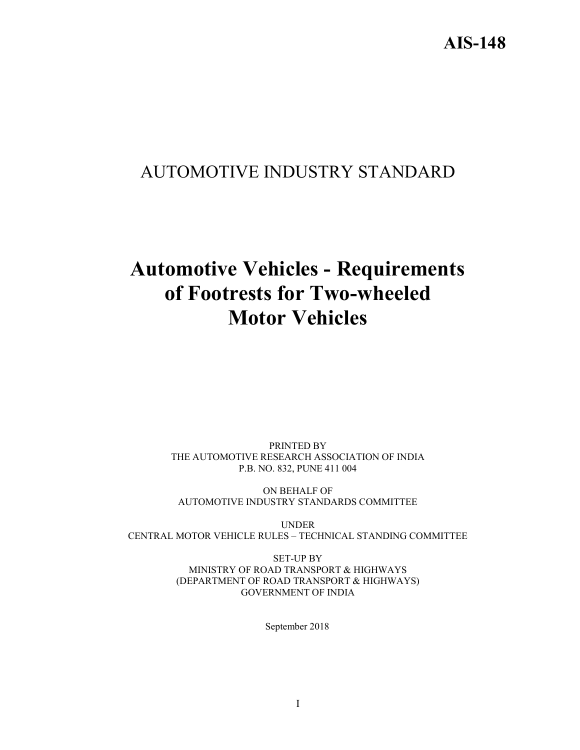# AUTOMOTIVE INDUSTRY STANDARD

# Automotive Vehicles - Requirements of Footrests for Two-wheeled Motor Vehicles

PRINTED BY THE AUTOMOTIVE RESEARCH ASSOCIATION OF INDIA P.B. NO. 832, PUNE 411 004

ON BEHALF OF AUTOMOTIVE INDUSTRY STANDARDS COMMITTEE

UNDER CENTRAL MOTOR VEHICLE RULES – TECHNICAL STANDING COMMITTEE

> SET-UP BY MINISTRY OF ROAD TRANSPORT & HIGHWAYS (DEPARTMENT OF ROAD TRANSPORT & HIGHWAYS) GOVERNMENT OF INDIA

> > September 2018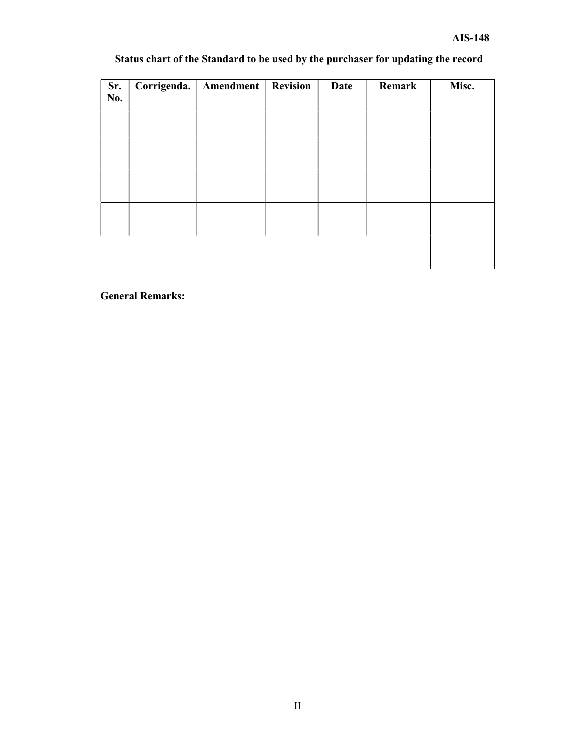# Status chart of the Standard to be used by the purchaser for updating the record

| Sr.<br>No. | Corrigenda. | Amendment | <b>Revision</b> | Date | Remark | Misc. |
|------------|-------------|-----------|-----------------|------|--------|-------|
|            |             |           |                 |      |        |       |
|            |             |           |                 |      |        |       |
|            |             |           |                 |      |        |       |
|            |             |           |                 |      |        |       |
|            |             |           |                 |      |        |       |
|            |             |           |                 |      |        |       |

General Remarks: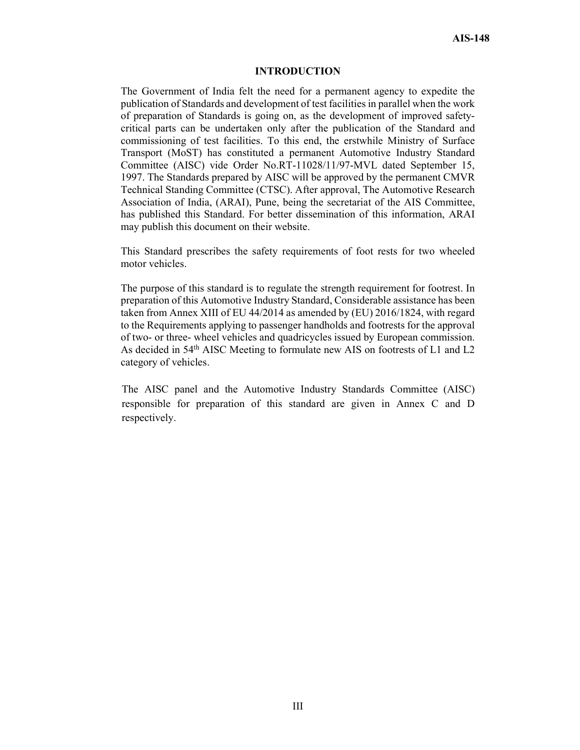#### INTRODUCTION

The Government of India felt the need for a permanent agency to expedite the publication of Standards and development of test facilities in parallel when the work of preparation of Standards is going on, as the development of improved safetycritical parts can be undertaken only after the publication of the Standard and commissioning of test facilities. To this end, the erstwhile Ministry of Surface Transport (MoST) has constituted a permanent Automotive Industry Standard Committee (AISC) vide Order No.RT-11028/11/97-MVL dated September 15, 1997. The Standards prepared by AISC will be approved by the permanent CMVR Technical Standing Committee (CTSC). After approval, The Automotive Research Association of India, (ARAI), Pune, being the secretariat of the AIS Committee, has published this Standard. For better dissemination of this information, ARAI may publish this document on their website.

This Standard prescribes the safety requirements of foot rests for two wheeled motor vehicles.

The purpose of this standard is to regulate the strength requirement for footrest. In preparation of this Automotive Industry Standard, Considerable assistance has been taken from Annex XIII of EU 44/2014 as amended by (EU) 2016/1824, with regard to the Requirements applying to passenger handholds and footrests for the approval of two- or three- wheel vehicles and quadricycles issued by European commission. As decided in 54th AISC Meeting to formulate new AIS on footrests of L1 and L2 category of vehicles.

The AISC panel and the Automotive Industry Standards Committee (AISC) responsible for preparation of this standard are given in Annex C and D respectively.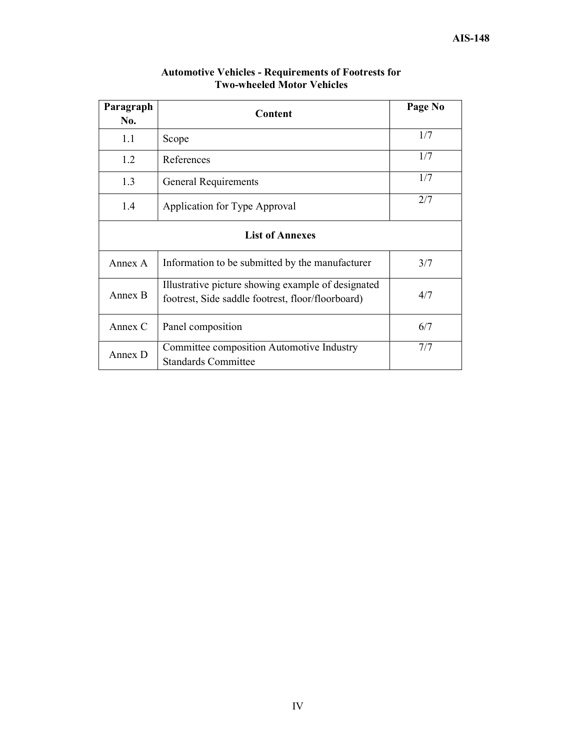| Paragraph<br>No. | Content                                                                                                 | Page No |
|------------------|---------------------------------------------------------------------------------------------------------|---------|
| 1.1              | Scope                                                                                                   |         |
| 1.2              | References                                                                                              | 1/7     |
| 1.3              | General Requirements                                                                                    | 1/7     |
| 1.4              | Application for Type Approval                                                                           | 2/7     |
|                  | <b>List of Annexes</b>                                                                                  |         |
| Annex A          | Information to be submitted by the manufacturer                                                         | 3/7     |
| Annex B          | Illustrative picture showing example of designated<br>footrest, Side saddle footrest, floor/floorboard) | 4/7     |
| Annex C          | Panel composition                                                                                       | 6/7     |
| Annex D          | Committee composition Automotive Industry<br><b>Standards Committee</b>                                 | 7/7     |

#### Automotive Vehicles - Requirements of Footrests for Two-wheeled Motor Vehicles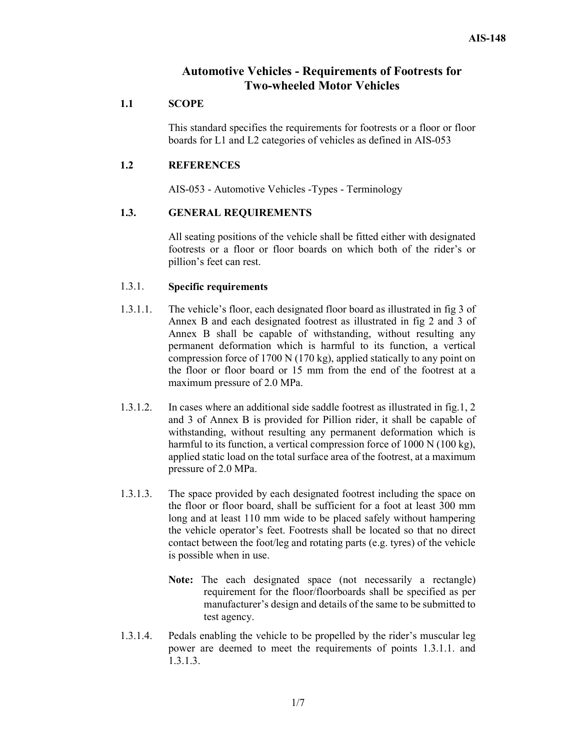# Automotive Vehicles - Requirements of Footrests for Two-wheeled Motor Vehicles

## 1.1 SCOPE

This standard specifies the requirements for footrests or a floor or floor boards for L1 and L2 categories of vehicles as defined in AIS-053

## 1.2 REFERENCES

AIS-053 - Automotive Vehicles -Types - Terminology

# 1.3. GENERAL REQUIREMENTS

All seating positions of the vehicle shall be fitted either with designated footrests or a floor or floor boards on which both of the rider's or pillion's feet can rest.

### 1.3.1. Specific requirements

- 1.3.1.1. The vehicle's floor, each designated floor board as illustrated in fig 3 of Annex B and each designated footrest as illustrated in fig 2 and 3 of Annex B shall be capable of withstanding, without resulting any permanent deformation which is harmful to its function, a vertical compression force of 1700 N (170 kg), applied statically to any point on the floor or floor board or 15 mm from the end of the footrest at a maximum pressure of 2.0 MPa.
- 1.3.1.2. In cases where an additional side saddle footrest as illustrated in fig.1, 2 and 3 of Annex B is provided for Pillion rider, it shall be capable of withstanding, without resulting any permanent deformation which is harmful to its function, a vertical compression force of 1000 N (100 kg), applied static load on the total surface area of the footrest, at a maximum pressure of 2.0 MPa.
- 1.3.1.3. The space provided by each designated footrest including the space on the floor or floor board, shall be sufficient for a foot at least 300 mm long and at least 110 mm wide to be placed safely without hampering the vehicle operator's feet. Footrests shall be located so that no direct contact between the foot/leg and rotating parts (e.g. tyres) of the vehicle is possible when in use.
	- Note: The each designated space (not necessarily a rectangle) requirement for the floor/floorboards shall be specified as per manufacturer's design and details of the same to be submitted to test agency.
- 1.3.1.4. Pedals enabling the vehicle to be propelled by the rider's muscular leg power are deemed to meet the requirements of points 1.3.1.1. and 1.3.1.3.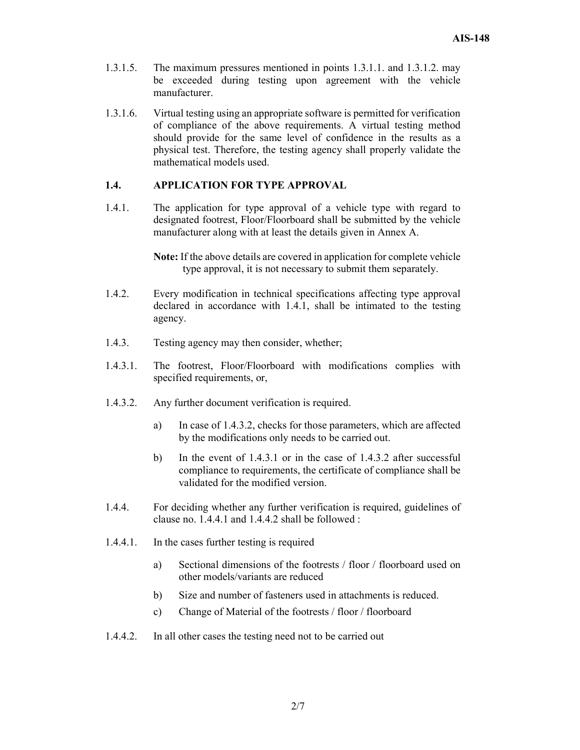- 1.3.1.5. The maximum pressures mentioned in points 1.3.1.1. and 1.3.1.2. may be exceeded during testing upon agreement with the vehicle manufacturer.
- 1.3.1.6. Virtual testing using an appropriate software is permitted for verification of compliance of the above requirements. A virtual testing method should provide for the same level of confidence in the results as a physical test. Therefore, the testing agency shall properly validate the mathematical models used.

## 1.4. APPLICATION FOR TYPE APPROVAL

1.4.1. The application for type approval of a vehicle type with regard to designated footrest, Floor/Floorboard shall be submitted by the vehicle manufacturer along with at least the details given in Annex A.

> Note: If the above details are covered in application for complete vehicle type approval, it is not necessary to submit them separately.

- 1.4.2. Every modification in technical specifications affecting type approval declared in accordance with 1.4.1, shall be intimated to the testing agency.
- 1.4.3. Testing agency may then consider, whether;
- 1.4.3.1. The footrest, Floor/Floorboard with modifications complies with specified requirements, or,
- 1.4.3.2. Any further document verification is required.
	- a) In case of 1.4.3.2, checks for those parameters, which are affected by the modifications only needs to be carried out.
	- b) In the event of 1.4.3.1 or in the case of 1.4.3.2 after successful compliance to requirements, the certificate of compliance shall be validated for the modified version.
- 1.4.4. For deciding whether any further verification is required, guidelines of clause no. 1.4.4.1 and 1.4.4.2 shall be followed :
- 1.4.4.1. In the cases further testing is required
	- a) Sectional dimensions of the footrests / floor / floorboard used on other models/variants are reduced
	- b) Size and number of fasteners used in attachments is reduced.
	- c) Change of Material of the footrests / floor / floorboard
- 1.4.4.2. In all other cases the testing need not to be carried out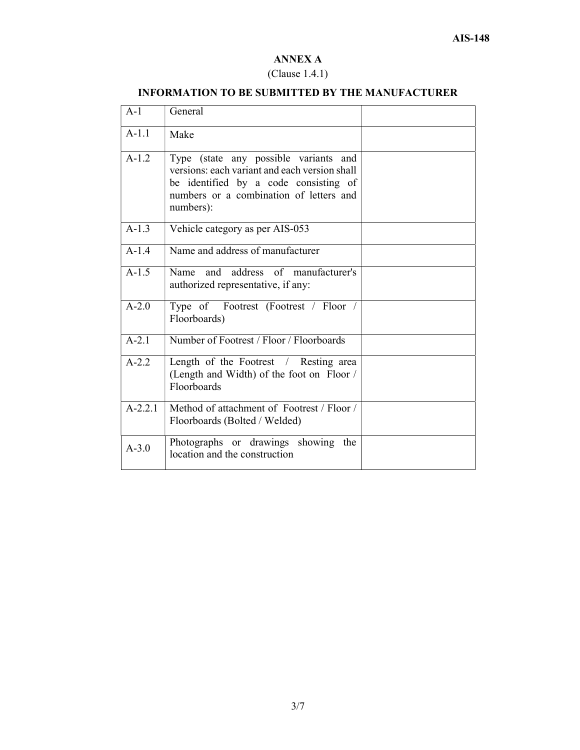# ANNEX A

#### (Clause 1.4.1)

# A-1 General  $A-1.1$  | Make A-1.2 Type (state any possible variants and versions: each variant and each version shall be identified by a code consisting of numbers or a combination of letters and numbers): A-1.3 Vehicle category as per AIS-053 A-1.4 Name and address of manufacturer A-1.5 Name and address of manufacturer's authorized representative, if any: A-2.0 Type of Footrest (Footrest / Floor / Floorboards) A-2.1 Number of Footrest / Floor / Floorboards A-2.2 Length of the Footrest / Resting area (Length and Width) of the foot on Floor / Floorboards A-2.2.1 Method of attachment of Footrest / Floor / Floorboards (Bolted / Welded) A-3.0 Photographs or drawings showing the location and the construction

#### INFORMATION TO BE SUBMITTED BY THE MANUFACTURER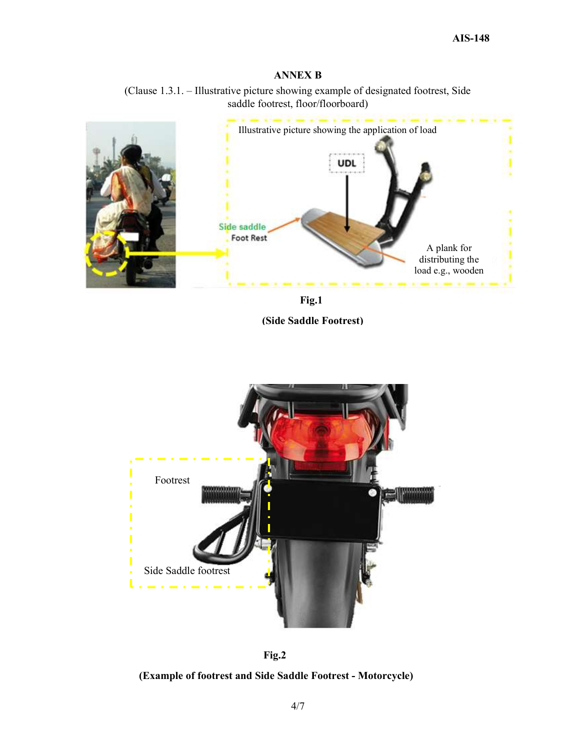# ANNEX B





Fig.1 (Side Saddle Footrest)





### (Example of footrest and Side Saddle Footrest - Motorcycle)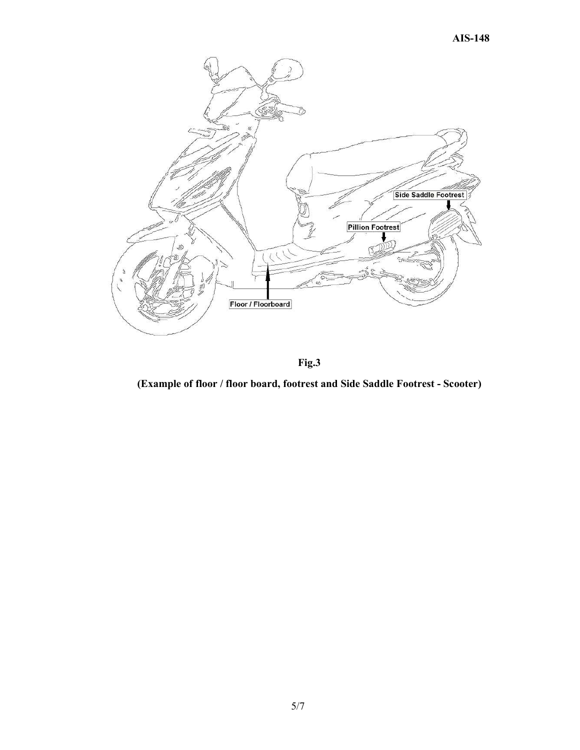

Fig.3

(Example of floor / floor board, footrest and Side Saddle Footrest - Scooter)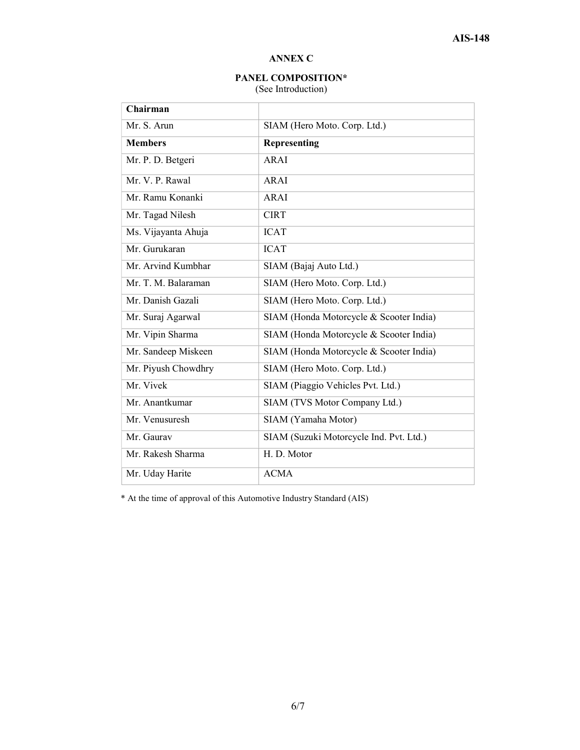# ANNEX C

# PANEL COMPOSITION\*

(See Introduction)

| Chairman            |                                         |  |  |
|---------------------|-----------------------------------------|--|--|
| Mr. S. Arun         | SIAM (Hero Moto. Corp. Ltd.)            |  |  |
| <b>Members</b>      | <b>Representing</b>                     |  |  |
| Mr. P. D. Betgeri   | <b>ARAI</b>                             |  |  |
| Mr. V. P. Rawal     | ARAI                                    |  |  |
| Mr. Ramu Konanki    | ARAI                                    |  |  |
| Mr. Tagad Nilesh    | <b>CIRT</b>                             |  |  |
| Ms. Vijayanta Ahuja | <b>ICAT</b>                             |  |  |
| Mr. Gurukaran       | <b>ICAT</b>                             |  |  |
| Mr. Arvind Kumbhar  | SIAM (Bajaj Auto Ltd.)                  |  |  |
| Mr. T. M. Balaraman | SIAM (Hero Moto. Corp. Ltd.)            |  |  |
| Mr. Danish Gazali   | SIAM (Hero Moto. Corp. Ltd.)            |  |  |
| Mr. Suraj Agarwal   | SIAM (Honda Motorcycle & Scooter India) |  |  |
| Mr. Vipin Sharma    | SIAM (Honda Motorcycle & Scooter India) |  |  |
| Mr. Sandeep Miskeen | SIAM (Honda Motorcycle & Scooter India) |  |  |
| Mr. Piyush Chowdhry | SIAM (Hero Moto. Corp. Ltd.)            |  |  |
| Mr. Vivek           | SIAM (Piaggio Vehicles Pvt. Ltd.)       |  |  |
| Mr. Anantkumar      | SIAM (TVS Motor Company Ltd.)           |  |  |
| Mr. Venusuresh      | SIAM (Yamaha Motor)                     |  |  |
| Mr. Gaurav          | SIAM (Suzuki Motorcycle Ind. Pvt. Ltd.) |  |  |
| Mr. Rakesh Sharma   | H. D. Motor                             |  |  |
| Mr. Uday Harite     | <b>ACMA</b>                             |  |  |

\* At the time of approval of this Automotive Industry Standard (AIS)